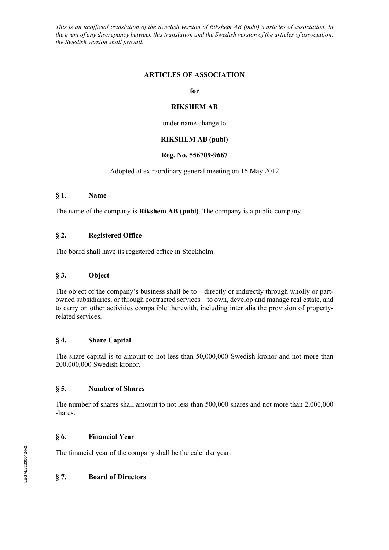*This is an unofficial translation of the Swedish version of Rikshem AB (publ)'s articles of association. In the event of any discrepancy between this translation and the Swedish version of the articles of association, the Swedish version shall prevail.*

#### **ARTICLES OF ASSOCIATION**

#### **for**

#### **RIKSHEM AB**

under name change to

# **RIKSHEM AB (publ)**

#### **Reg. No. 556709-9667**

#### Adopted at extraordinary general meeting on 16 May 2012

#### **§ 1. Name**

The name of the company is **Rikshem AB (publ)**. The company is a public company.

### **§ 2. Registered Office**

The board shall have its registered office in Stockholm.

#### **§ 3. Object**

The object of the company's business shall be to  $-$  directly or indirectly through wholly or partowned subsidiaries, or through contracted services – to own, develop and manage real estate, and to carry on other activities compatible therewith, including inter alia the provision of propertyrelated services.

#### **§ 4. Share Capital**

The share capital is to amount to not less than 50,000,000 Swedish kronor and not more than 200,000,000 Swedish kronor.

#### **§ 5. Number of Shares**

The number of shares shall amount to not less than 500,000 shares and not more than 2,000,000 shares.

### **§ 6. Financial Year**

The financial year of the company shall be the calendar year.

### **§ 7. Board of Directors**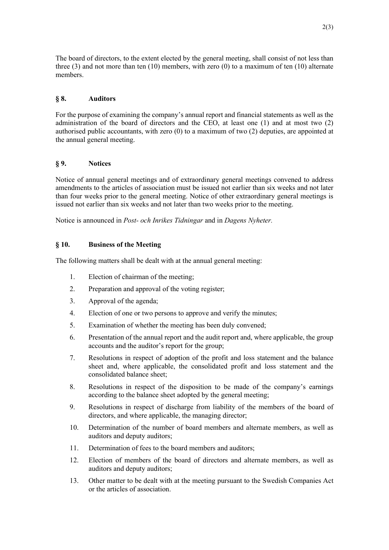The board of directors, to the extent elected by the general meeting, shall consist of not less than three (3) and not more than ten (10) members, with zero (0) to a maximum of ten (10) alternate members.

# **§ 8. Auditors**

For the purpose of examining the company's annual report and financial statements as well as the administration of the board of directors and the CEO, at least one (1) and at most two (2) authorised public accountants, with zero (0) to a maximum of two (2) deputies, are appointed at the annual general meeting.

### **§ 9. Notices**

Notice of annual general meetings and of extraordinary general meetings convened to address amendments to the articles of association must be issued not earlier than six weeks and not later than four weeks prior to the general meeting. Notice of other extraordinary general meetings is issued not earlier than six weeks and not later than two weeks prior to the meeting.

Notice is announced in *Post- och Inrikes Tidningar* and in *Dagens Nyheter.*

### **§ 10. Business of the Meeting**

The following matters shall be dealt with at the annual general meeting:

- 1. Election of chairman of the meeting;
- 2. Preparation and approval of the voting register;
- 3. Approval of the agenda;
- 4. Election of one or two persons to approve and verify the minutes;
- 5. Examination of whether the meeting has been duly convened;
- 6. Presentation of the annual report and the audit report and, where applicable, the group accounts and the auditor's report for the group;
- 7. Resolutions in respect of adoption of the profit and loss statement and the balance sheet and, where applicable, the consolidated profit and loss statement and the consolidated balance sheet;
- 8. Resolutions in respect of the disposition to be made of the company's earnings according to the balance sheet adopted by the general meeting;
- 9. Resolutions in respect of discharge from liability of the members of the board of directors, and where applicable, the managing director;
- 10. Determination of the number of board members and alternate members, as well as auditors and deputy auditors;
- 11. Determination of fees to the board members and auditors;
- 12. Election of members of the board of directors and alternate members, as well as auditors and deputy auditors;
- 13. Other matter to be dealt with at the meeting pursuant to the Swedish Companies Act or the articles of association.